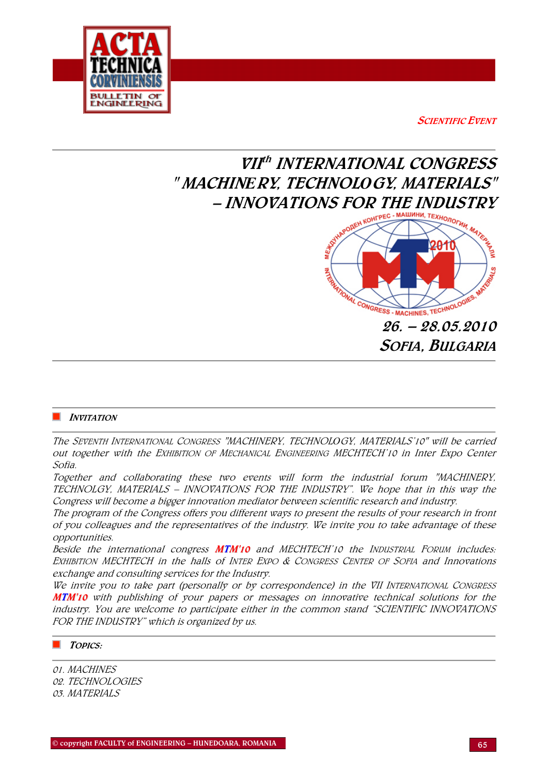

**SCIENTIFIC EVENT** 

# VIIth INTERNATIONAL CONGRESS " MACHIN*Е*RY, TECHNOL*О*GY, MATERIALS"



## $\blacksquare$  INVITATION

The SEVENTH INTERNATIONAL CONGRESS "MACHINERY, TECHNOL*О*GY, MATERIALS'10" will be carried out together with the EXHIBITION OF MECHANICAL ENGINEERING MECHTECH'10 in Inter Expo Center Sofia.

Together and collaborating these two events will form the industrial forum "MACHINERY, TECHNOLGY, MATERIALS – INNOVATIONS FOR THE INDUSTRY". We hope that in this way the Congress will become a bigger innovation mediator between scientific research and industry.

The program of the Congress offers you different ways to present the results of your research in front of you colleagues and the representatives of the industry. We invite you to take advantage of these opportunities.

Beside the international congress **MTM'10** and MECHTECH'10 the INDUSTRIAL FORUM includes: EXHIBITION MECHTECH in the halls of INTER EXPO & CONGRESS CENTER OF SOFIA and Innovations exchange and consulting services for the Industry.

We invite you to take part (personally or by correspondence) in the VII INTERNATIONAL CONGRESS MTM'10 with publishing of your papers or messages on innovative technical solutions for the industry. You are welcome to participate either in the common stand "SCIENTIFIC INNOVATIONS FOR THE INDUSTRY" which is organized by us.

# TOPICS:

01. MACHINES 02. TECHNOLOGIES 03. MATERIALS